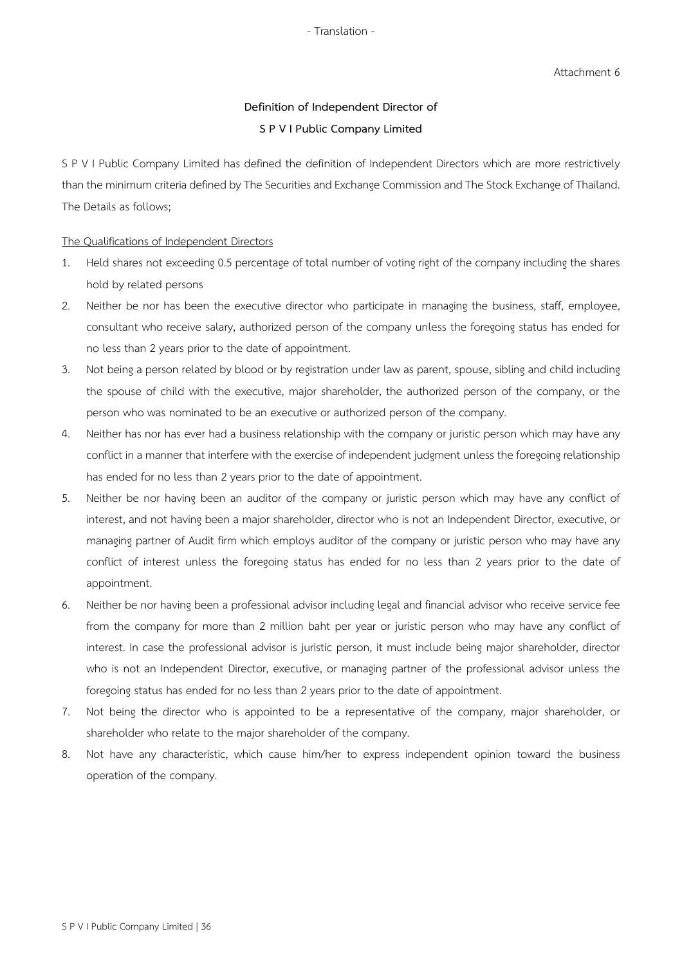# **Definition of Independent Director of S P V I Public Company Limited**

S P V I Public Company Limited has defined the definition of Independent Directors which are more restrictively than the minimum criteria defined by The Securities and Exchange Commission and The Stock Exchange of Thailand. The Details as follows;

#### The Qualifications of Independent Directors

- 1. Held shares not exceeding 0.5 percentage of total number of voting right of the company including the shares hold by related persons
- 2. Neither be nor has been the executive director who participate in managing the business, staff, employee, consultant who receive salary, authorized person of the company unless the foregoing status has ended for no less than 2 years prior to the date of appointment.
- 3. Not being a person related by blood or by registration under law as parent, spouse, sibling and child including the spouse of child with the executive, major shareholder, the authorized person of the company, or the person who was nominated to be an executive or authorized person of the company.
- 4. Neither has nor has ever had a business relationship with the company or juristic person which may have any conflict in a manner that interfere with the exercise of independent judgment unless the foregoing relationship has ended for no less than 2 years prior to the date of appointment.
- 5. Neither be nor having been an auditor of the company or juristic person which may have any conflict of interest, and not having been a major shareholder, director who is not an Independent Director, executive, or managing partner of Audit firm which employs auditor of the company or juristic person who may have any conflict of interest unless the foregoing status has ended for no less than 2 years prior to the date of appointment.
- 6. Neither be norhaving been a professional advisor including legal and financial advisor who receive service fee from the company for more than 2 million baht per year or juristic person who may have any conflict of interest. In case the professional advisor is juristic person, it must include being major shareholder, director who is not an Independent Director, executive, or managing partner of the professional advisor unless the foregoing status has ended for no less than 2 years prior to the date of appointment.
- 7. Not being the director who is appointed to be a representative of the company, major shareholder, or shareholder who relate to the major shareholder of the company.
- 8. Not have any characteristic, which cause him/her to express independent opinion toward the business operation of the company.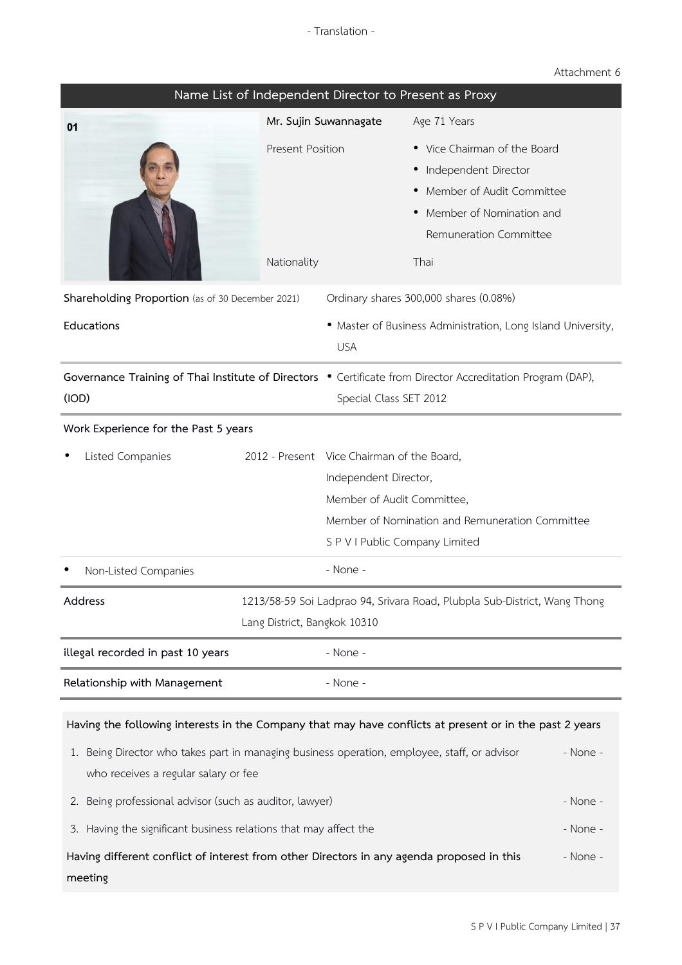## Attachment 6

| Name List of Independent Director to Present as Proxy                                                                                                                                                                                                                                                                                                                             |                                                                                                                                       |                                                                                                                                     |                                                                                                                                                     |                                  |  |  |
|-----------------------------------------------------------------------------------------------------------------------------------------------------------------------------------------------------------------------------------------------------------------------------------------------------------------------------------------------------------------------------------|---------------------------------------------------------------------------------------------------------------------------------------|-------------------------------------------------------------------------------------------------------------------------------------|-----------------------------------------------------------------------------------------------------------------------------------------------------|----------------------------------|--|--|
| 01                                                                                                                                                                                                                                                                                                                                                                                | Mr. Sujin Suwannagate                                                                                                                 |                                                                                                                                     | Age 71 Years                                                                                                                                        |                                  |  |  |
|                                                                                                                                                                                                                                                                                                                                                                                   | <b>Present Position</b><br>Nationality                                                                                                |                                                                                                                                     | • Vice Chairman of the Board<br>· Independent Director<br>• Member of Audit Committee<br>Member of Nomination and<br>Remuneration Committee<br>Thai |                                  |  |  |
| Shareholding Proportion (as of 30 December 2021)                                                                                                                                                                                                                                                                                                                                  | Ordinary shares 300,000 shares (0.08%)                                                                                                |                                                                                                                                     |                                                                                                                                                     |                                  |  |  |
| Educations                                                                                                                                                                                                                                                                                                                                                                        |                                                                                                                                       | <b>USA</b>                                                                                                                          | • Master of Business Administration, Long Island University,                                                                                        |                                  |  |  |
| (IOD)                                                                                                                                                                                                                                                                                                                                                                             | Governance Training of Thai Institute of Directors . Certificate from Director Accreditation Program (DAP),<br>Special Class SET 2012 |                                                                                                                                     |                                                                                                                                                     |                                  |  |  |
| Work Experience for the Past 5 years                                                                                                                                                                                                                                                                                                                                              |                                                                                                                                       |                                                                                                                                     |                                                                                                                                                     |                                  |  |  |
| Listed Companies                                                                                                                                                                                                                                                                                                                                                                  |                                                                                                                                       | 2012 - Present Vice Chairman of the Board,<br>Independent Director,<br>Member of Audit Committee,<br>S P V I Public Company Limited | Member of Nomination and Remuneration Committee                                                                                                     |                                  |  |  |
| Non-Listed Companies                                                                                                                                                                                                                                                                                                                                                              |                                                                                                                                       | - None -                                                                                                                            |                                                                                                                                                     |                                  |  |  |
| 1213/58-59 Soi Ladprao 94, Srivara Road, Plubpla Sub-District, Wang Thong<br>Address<br>Lang District, Bangkok 10310                                                                                                                                                                                                                                                              |                                                                                                                                       |                                                                                                                                     |                                                                                                                                                     |                                  |  |  |
| illegal recorded in past 10 years                                                                                                                                                                                                                                                                                                                                                 |                                                                                                                                       | - None -                                                                                                                            |                                                                                                                                                     |                                  |  |  |
| Relationship with Management                                                                                                                                                                                                                                                                                                                                                      |                                                                                                                                       | - None -                                                                                                                            |                                                                                                                                                     |                                  |  |  |
| Having the following interests in the Company that may have conflicts at present or in the past 2 years<br>1. Being Director who takes part in managing business operation, employee, staff, or advisor<br>who receives a regular salary or fee<br>2. Being professional advisor (such as auditor, lawyer)<br>Having the significant business relations that may affect the<br>3. |                                                                                                                                       |                                                                                                                                     |                                                                                                                                                     | - None -<br>- None -<br>- None - |  |  |
| Having different conflict of interest from other Directors in any agenda proposed in this<br>meeting                                                                                                                                                                                                                                                                              |                                                                                                                                       |                                                                                                                                     |                                                                                                                                                     | - None -                         |  |  |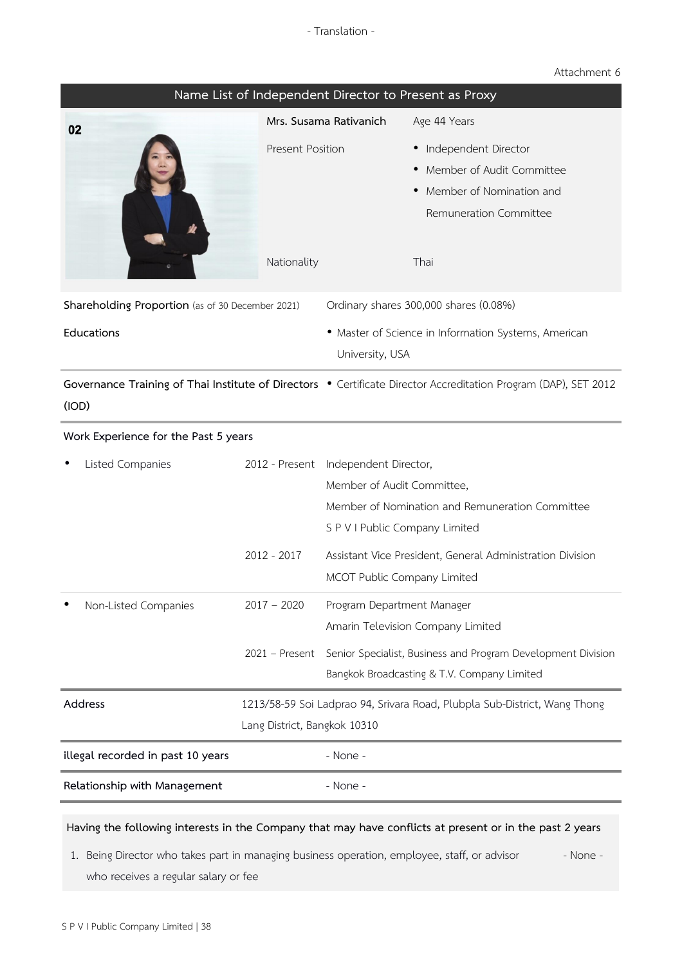## Attachment 6

| Name List of Independent Director to Present as Proxy |                                                                                                           |                                                                                                                 |                                                                                                                   |  |  |  |  |
|-------------------------------------------------------|-----------------------------------------------------------------------------------------------------------|-----------------------------------------------------------------------------------------------------------------|-------------------------------------------------------------------------------------------------------------------|--|--|--|--|
| 02                                                    |                                                                                                           | Mrs. Susama Rativanich                                                                                          | Age 44 Years                                                                                                      |  |  |  |  |
|                                                       | <b>Present Position</b><br>Nationality                                                                    |                                                                                                                 | · Independent Director<br>Member of Audit Committee<br>Member of Nomination and<br>Remuneration Committee<br>Thai |  |  |  |  |
| Shareholding Proportion (as of 30 December 2021)      |                                                                                                           |                                                                                                                 | Ordinary shares 300,000 shares (0.08%)                                                                            |  |  |  |  |
| Educations                                            |                                                                                                           | • Master of Science in Information Systems, American<br>University, USA                                         |                                                                                                                   |  |  |  |  |
| (IOD)                                                 |                                                                                                           | Governance Training of Thai Institute of Directors . Certificate Director Accreditation Program (DAP), SET 2012 |                                                                                                                   |  |  |  |  |
| Work Experience for the Past 5 years                  |                                                                                                           |                                                                                                                 |                                                                                                                   |  |  |  |  |
| Listed Companies                                      |                                                                                                           | 2012 - Present Independent Director,<br>Member of Audit Committee,<br>S P V I Public Company Limited            | Member of Nomination and Remuneration Committee                                                                   |  |  |  |  |
|                                                       | $2012 - 2017$                                                                                             | MCOT Public Company Limited                                                                                     | Assistant Vice President, General Administration Division                                                         |  |  |  |  |
| Non-Listed Companies                                  | $2017 - 2020$                                                                                             | Program Department Manager                                                                                      | Amarin Television Company Limited                                                                                 |  |  |  |  |
|                                                       | 2021 - Present                                                                                            |                                                                                                                 | Senior Specialist, Business and Program Development Division<br>Bangkok Broadcasting & T.V. Company Limited       |  |  |  |  |
| Address                                               | 1213/58-59 Soi Ladprao 94, Srivara Road, Plubpla Sub-District, Wang Thong<br>Lang District, Bangkok 10310 |                                                                                                                 |                                                                                                                   |  |  |  |  |
| illegal recorded in past 10 years                     |                                                                                                           | - None -                                                                                                        |                                                                                                                   |  |  |  |  |
| Relationship with Management                          |                                                                                                           | - None -                                                                                                        |                                                                                                                   |  |  |  |  |

#### Having the following interests in the Company that may have conflicts at present or in the past 2 years

1. Being Director who takes part in managing business operation, employee, staff, or advisor who receives a regular salary or fee - None -